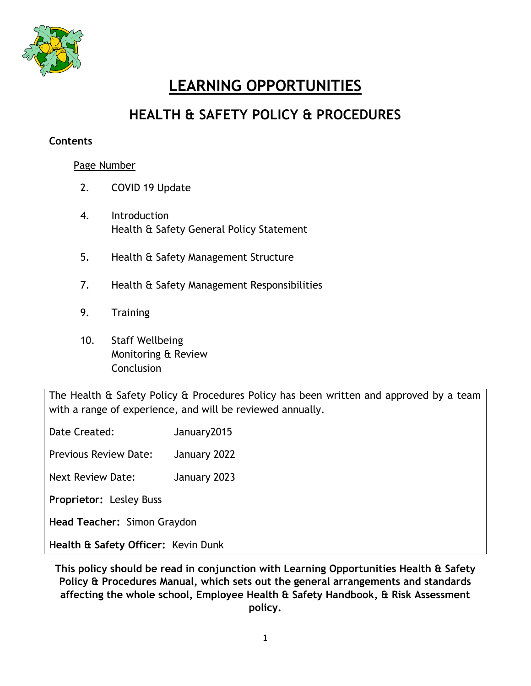

# **LEARNING OPPORTUNITIES**

# **HEALTH & SAFETY POLICY & PROCEDURES**

#### **Contents**

#### Page Number

- 2. COVID 19 Update
- 4. Introduction Health & Safety General Policy Statement
- 5. Health & Safety Management Structure
- 7. Health & Safety Management Responsibilities
- 9. Training
- 10. Staff Wellbeing Monitoring & Review **Conclusion**

The Health & Safety Policy & Procedures Policy has been written and approved by a team with a range of experience, and will be reviewed annually.

Date Created: January2015

Previous Review Date: January 2022

Next Review Date: January 2023

**Proprietor:** Lesley Buss

**Head Teacher:** Simon Graydon

**Health & Safety Officer:** Kevin Dunk

**This policy should be read in conjunction with Learning Opportunities Health & Safety Policy & Procedures Manual, which sets out the general arrangements and standards affecting the whole school, Employee Health & Safety Handbook, & Risk Assessment policy.**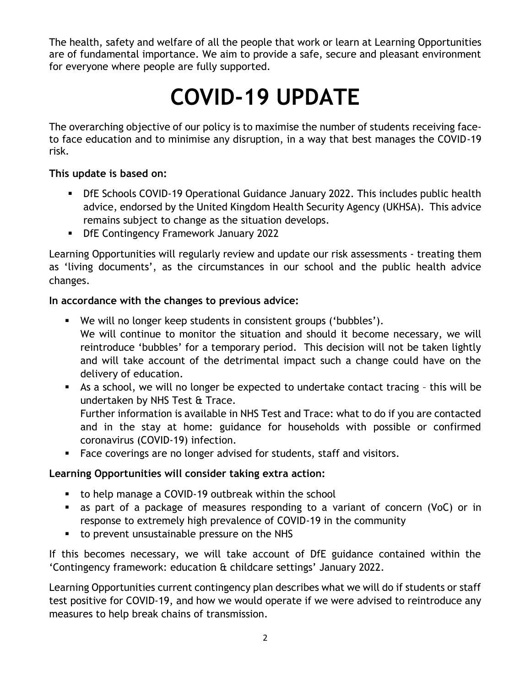The health, safety and welfare of all the people that work or learn at Learning Opportunities are of fundamental importance. We aim to provide a safe, secure and pleasant environment for everyone where people are fully supported.

# **COVID-19 UPDATE**

The overarching objective of our policy is to maximise the number of students receiving faceto face education and to minimise any disruption, in a way that best manages the COVID-19 risk.

#### **This update is based on:**

- DfE Schools COVID-19 Operational Guidance January 2022. This includes public health advice, endorsed by the United Kingdom Health Security Agency (UKHSA). This advice remains subject to change as the situation develops.
- **DfE Contingency Framework January 2022**

Learning Opportunities will regularly review and update our risk assessments - treating them as 'living documents', as the circumstances in our school and the public health advice changes.

# **In accordance with the changes to previous advice:**

- We will no longer keep students in consistent groups ('bubbles'). We will continue to monitor the situation and should it become necessary, we will reintroduce 'bubbles' for a temporary period. This decision will not be taken lightly and will take account of the detrimental impact such a change could have on the delivery of education.
- As a school, we will no longer be expected to undertake contact tracing this will be undertaken by NHS Test & Trace. Further information is available in NHS Test and Trace: what to do if you are contacted and in the stay at home: guidance for households with possible or confirmed
- coronavirus (COVID-19) infection. Face coverings are no longer advised for students, staff and visitors.

# **Learning Opportunities will consider taking extra action:**

- to help manage a COVID-19 outbreak within the school
- as part of a package of measures responding to a variant of concern (VoC) or in response to extremely high prevalence of COVID-19 in the community
- to prevent unsustainable pressure on the NHS

If this becomes necessary, we will take account of DfE guidance contained within the 'Contingency framework: education & childcare settings' January 2022.

Learning Opportunities current contingency plan describes what we will do if students or staff test positive for COVID-19, and how we would operate if we were advised to reintroduce any measures to help break chains of transmission.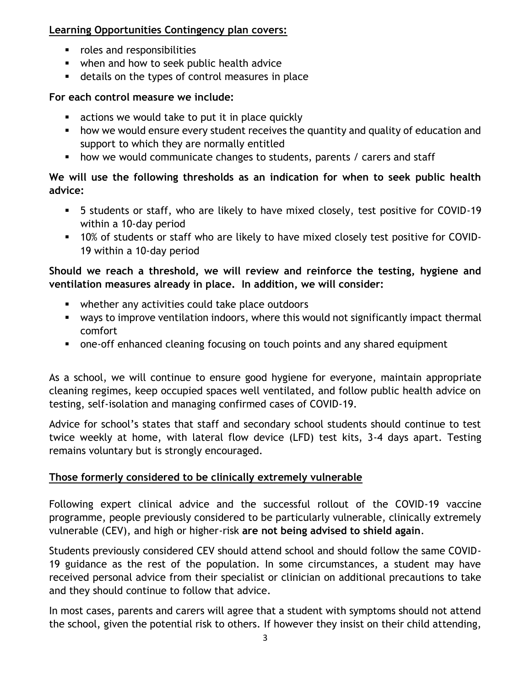#### **Learning Opportunities Contingency plan covers:**

- **•** roles and responsibilities
- when and how to seek public health advice
- details on the types of control measures in place

#### **For each control measure we include:**

- **EXECT** actions we would take to put it in place quickly
- how we would ensure every student receives the quantity and quality of education and support to which they are normally entitled
- **•** how we would communicate changes to students, parents / carers and staff

#### **We will use the following thresholds as an indication for when to seek public health advice:**

- 5 students or staff, who are likely to have mixed closely, test positive for COVID-19 within a 10-day period
- 10% of students or staff who are likely to have mixed closely test positive for COVID-19 within a 10-day period

# **Should we reach a threshold, we will review and reinforce the testing, hygiene and ventilation measures already in place. In addition, we will consider:**

- whether any activities could take place outdoors
- ways to improve ventilation indoors, where this would not significantly impact thermal comfort
- one-off enhanced cleaning focusing on touch points and any shared equipment

As a school, we will continue to ensure good hygiene for everyone, maintain appropriate cleaning regimes, keep occupied spaces well ventilated, and follow public health advice on testing, self-isolation and managing confirmed cases of COVID-19.

Advice for school's states that staff and secondary school students should continue to test twice weekly at home, with lateral flow device (LFD) test kits, 3-4 days apart. Testing remains voluntary but is strongly encouraged.

# **Those formerly considered to be clinically extremely vulnerable**

Following expert clinical advice and the successful rollout of the COVID-19 vaccine programme, people previously considered to be particularly vulnerable, clinically extremely vulnerable (CEV), and high or higher-risk **are not being advised to shield again**.

Students previously considered CEV should attend school and should follow the same COVID-19 guidance as the rest of the population. In some circumstances, a student may have received personal advice from their specialist or clinician on additional precautions to take and they should continue to follow that advice.

In most cases, parents and carers will agree that a student with symptoms should not attend the school, given the potential risk to others. If however they insist on their child attending,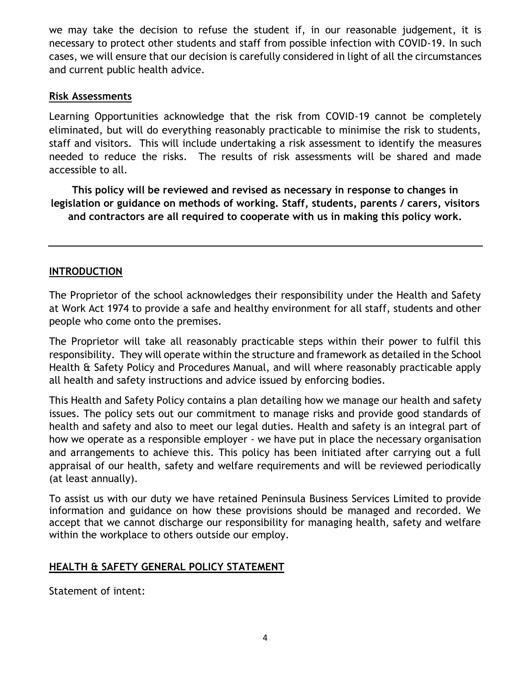we may take the decision to refuse the student if, in our reasonable judgement, it is necessary to protect other students and staff from possible infection with COVID-19. In such cases, we will ensure that our decision is carefully considered in light of all the circumstances and current public health advice.

#### **Risk Assessments**

Learning Opportunities acknowledge that the risk from COVID-19 cannot be completely eliminated, but will do everything reasonably practicable to minimise the risk to students, staff and visitors. This will include undertaking a risk assessment to identify the measures needed to reduce the risks. The results of risk assessments will be shared and made accessible to all.

**This policy will be reviewed and revised as necessary in response to changes in legislation or guidance on methods of working. Staff, students, parents / carers, visitors and contractors are all required to cooperate with us in making this policy work.**

#### **INTRODUCTION**

The Proprietor of the school acknowledges their responsibility under the Health and Safety at Work Act 1974 to provide a safe and healthy environment for all staff, students and other people who come onto the premises.

The Proprietor will take all reasonably practicable steps within their power to fulfil this responsibility. They will operate within the structure and framework as detailed in the School Health & Safety Policy and Procedures Manual, and will where reasonably practicable apply all health and safety instructions and advice issued by enforcing bodies.

This Health and Safety Policy contains a plan detailing how we manage our health and safety issues. The policy sets out our commitment to manage risks and provide good standards of health and safety and also to meet our legal duties. Health and safety is an integral part of how we operate as a responsible employer - we have put in place the necessary organisation and arrangements to achieve this. This policy has been initiated after carrying out a full appraisal of our health, safety and welfare requirements and will be reviewed periodically (at least annually).

To assist us with our duty we have retained Peninsula Business Services Limited to provide information and guidance on how these provisions should be managed and recorded. We accept that we cannot discharge our responsibility for managing health, safety and welfare within the workplace to others outside our employ.

#### **HEALTH & SAFETY GENERAL POLICY STATEMENT**

Statement of intent: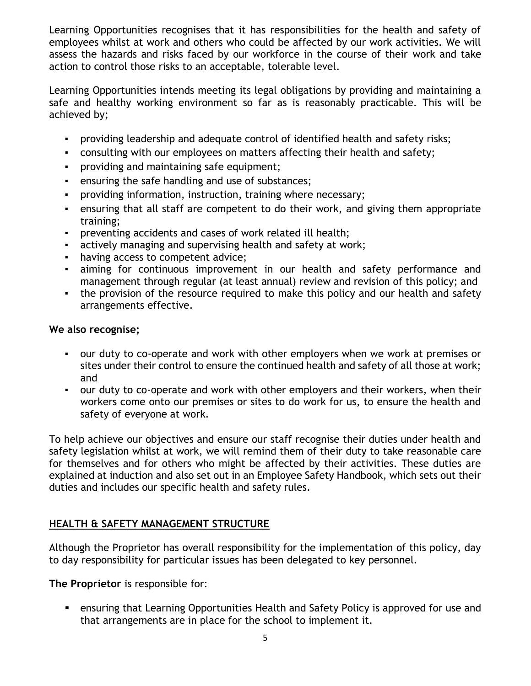Learning Opportunities recognises that it has responsibilities for the health and safety of employees whilst at work and others who could be affected by our work activities. We will assess the hazards and risks faced by our workforce in the course of their work and take action to control those risks to an acceptable, tolerable level.

Learning Opportunities intends meeting its legal obligations by providing and maintaining a safe and healthy working environment so far as is reasonably practicable. This will be achieved by;

- providing leadership and adequate control of identified health and safety risks;
- consulting with our employees on matters affecting their health and safety;
- providing and maintaining safe equipment;
- ensuring the safe handling and use of substances;
- providing information, instruction, training where necessary;
- ensuring that all staff are competent to do their work, and giving them appropriate training;
- preventing accidents and cases of work related ill health;
- actively managing and supervising health and safety at work;
- having access to competent advice;
- aiming for continuous improvement in our health and safety performance and management through regular (at least annual) review and revision of this policy; and
- the provision of the resource required to make this policy and our health and safety arrangements effective.

#### **We also recognise;**

- our duty to co-operate and work with other employers when we work at premises or sites under their control to ensure the continued health and safety of all those at work; and
- our duty to co-operate and work with other employers and their workers, when their workers come onto our premises or sites to do work for us, to ensure the health and safety of everyone at work.

To help achieve our objectives and ensure our staff recognise their duties under health and safety legislation whilst at work, we will remind them of their duty to take reasonable care for themselves and for others who might be affected by their activities. These duties are explained at induction and also set out in an Employee Safety Handbook, which sets out their duties and includes our specific health and safety rules.

# **HEALTH & SAFETY MANAGEMENT STRUCTURE**

Although the Proprietor has overall responsibility for the implementation of this policy, day to day responsibility for particular issues has been delegated to key personnel.

**The Proprietor** is responsible for:

 ensuring that Learning Opportunities Health and Safety Policy is approved for use and that arrangements are in place for the school to implement it.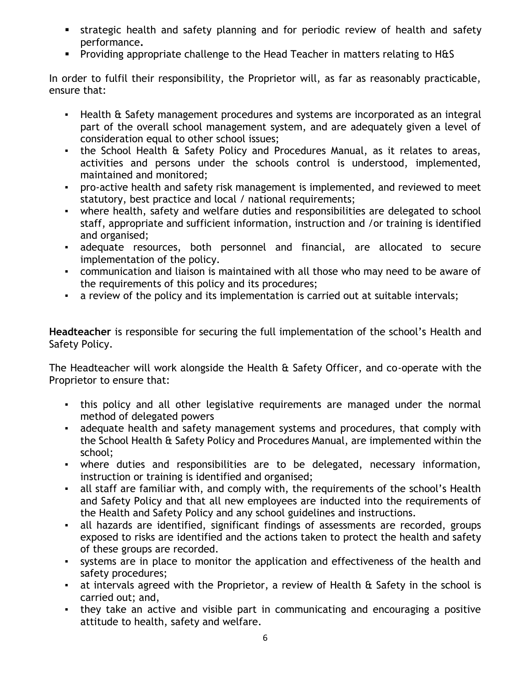- strategic health and safety planning and for periodic review of health and safety performance**.**
- **Providing appropriate challenge to the Head Teacher in matters relating to H&S**

In order to fulfil their responsibility, the Proprietor will, as far as reasonably practicable, ensure that:

- Health & Safety management procedures and systems are incorporated as an integral part of the overall school management system, and are adequately given a level of consideration equal to other school issues;
- the School Health & Safety Policy and Procedures Manual, as it relates to areas, activities and persons under the schools control is understood, implemented, maintained and monitored;
- pro-active health and safety risk management is implemented, and reviewed to meet statutory, best practice and local / national requirements;
- where health, safety and welfare duties and responsibilities are delegated to school staff, appropriate and sufficient information, instruction and /or training is identified and organised;
- adequate resources, both personnel and financial, are allocated to secure implementation of the policy.
- communication and liaison is maintained with all those who may need to be aware of the requirements of this policy and its procedures;
- a review of the policy and its implementation is carried out at suitable intervals;

**Headteacher** is responsible for securing the full implementation of the school's Health and Safety Policy.

The Headteacher will work alongside the Health & Safety Officer, and co-operate with the Proprietor to ensure that:

- this policy and all other legislative requirements are managed under the normal method of delegated powers
- adequate health and safety management systems and procedures, that comply with the School Health & Safety Policy and Procedures Manual, are implemented within the school;
- where duties and responsibilities are to be delegated, necessary information, instruction or training is identified and organised;
- all staff are familiar with, and comply with, the requirements of the school's Health and Safety Policy and that all new employees are inducted into the requirements of the Health and Safety Policy and any school guidelines and instructions.
- all hazards are identified, significant findings of assessments are recorded, groups exposed to risks are identified and the actions taken to protect the health and safety of these groups are recorded.
- systems are in place to monitor the application and effectiveness of the health and safety procedures;
- at intervals agreed with the Proprietor, a review of Health & Safety in the school is carried out; and,
- they take an active and visible part in communicating and encouraging a positive attitude to health, safety and welfare.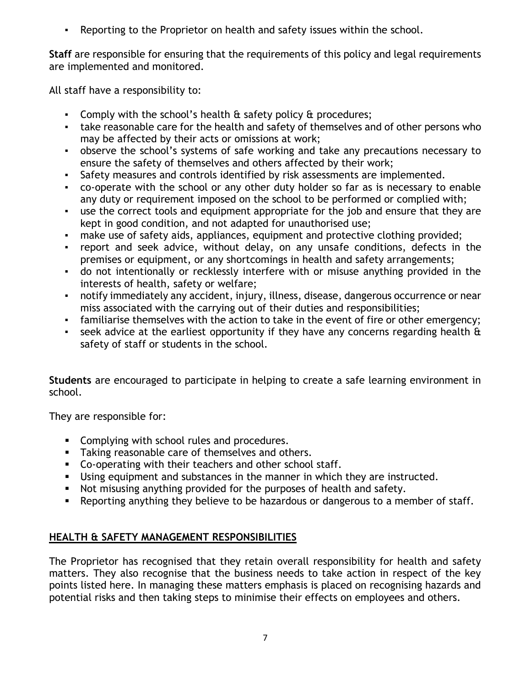▪ Reporting to the Proprietor on health and safety issues within the school.

**Staff** are responsible for ensuring that the requirements of this policy and legal requirements are implemented and monitored.

All staff have a responsibility to:

- Comply with the school's health & safety policy & procedures;
- take reasonable care for the health and safety of themselves and of other persons who may be affected by their acts or omissions at work;
- observe the school's systems of safe working and take any precautions necessary to ensure the safety of themselves and others affected by their work;
- Safety measures and controls identified by risk assessments are implemented.
- co-operate with the school or any other duty holder so far as is necessary to enable any duty or requirement imposed on the school to be performed or complied with;
- use the correct tools and equipment appropriate for the job and ensure that they are kept in good condition, and not adapted for unauthorised use;
- make use of safety aids, appliances, equipment and protective clothing provided;
- report and seek advice, without delay, on any unsafe conditions, defects in the premises or equipment, or any shortcomings in health and safety arrangements;
- do not intentionally or recklessly interfere with or misuse anything provided in the interests of health, safety or welfare;
- notify immediately any accident, injury, illness, disease, dangerous occurrence or near miss associated with the carrying out of their duties and responsibilities;
- familiarise themselves with the action to take in the event of fire or other emergency;
- **•** seek advice at the earliest opportunity if they have any concerns regarding health  $\theta$ safety of staff or students in the school.

**Students** are encouraged to participate in helping to create a safe learning environment in school.

They are responsible for:

- **Complying with school rules and procedures.**
- **Taking reasonable care of themselves and others.**
- Co-operating with their teachers and other school staff.
- Using equipment and substances in the manner in which they are instructed.
- Not misusing anything provided for the purposes of health and safety.
- **•** Reporting anything they believe to be hazardous or dangerous to a member of staff.

# **HEALTH & SAFETY MANAGEMENT RESPONSIBILITIES**

The Proprietor has recognised that they retain overall responsibility for health and safety matters. They also recognise that the business needs to take action in respect of the key points listed here. In managing these matters emphasis is placed on recognising hazards and potential risks and then taking steps to minimise their effects on employees and others.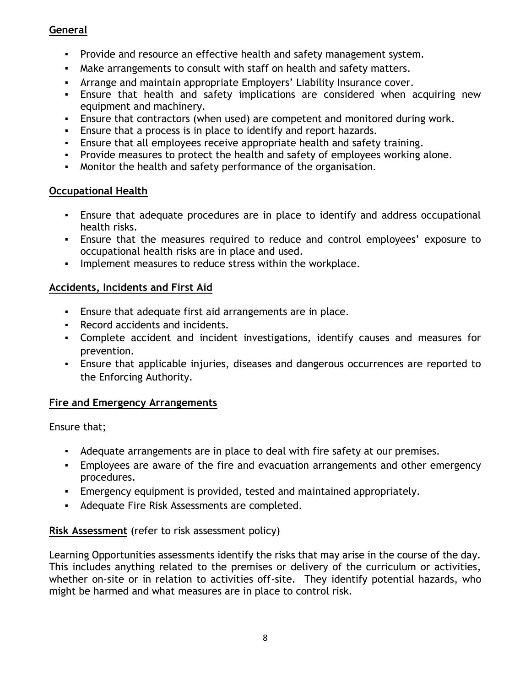# **General**

- Provide and resource an effective health and safety management system.
- Make arrangements to consult with staff on health and safety matters.
- Arrange and maintain appropriate Employers' Liability Insurance cover.
- Ensure that health and safety implications are considered when acquiring new equipment and machinery.
- Ensure that contractors (when used) are competent and monitored during work.
- Ensure that a process is in place to identify and report hazards.
- Ensure that all employees receive appropriate health and safety training.
- Provide measures to protect the health and safety of employees working alone.
- Monitor the health and safety performance of the organisation.

#### **Occupational Health**

- Ensure that adequate procedures are in place to identify and address occupational health risks.
- Ensure that the measures required to reduce and control employees' exposure to occupational health risks are in place and used.
- Implement measures to reduce stress within the workplace.

# **Accidents, Incidents and First Aid**

- Ensure that adequate first aid arrangements are in place.
- Record accidents and incidents.
- Complete accident and incident investigations, identify causes and measures for prevention.
- Ensure that applicable injuries, diseases and dangerous occurrences are reported to the Enforcing Authority.

# **Fire and Emergency Arrangements**

Ensure that;

- Adequate arrangements are in place to deal with fire safety at our premises.
- Employees are aware of the fire and evacuation arrangements and other emergency procedures.
- **Emergency equipment is provided, tested and maintained appropriately.**
- Adequate Fire Risk Assessments are completed.

# **Risk Assessment** (refer to risk assessment policy)

Learning Opportunities assessments identify the risks that may arise in the course of the day. This includes anything related to the premises or delivery of the curriculum or activities, whether on-site or in relation to activities off-site. They identify potential hazards, who might be harmed and what measures are in place to control risk.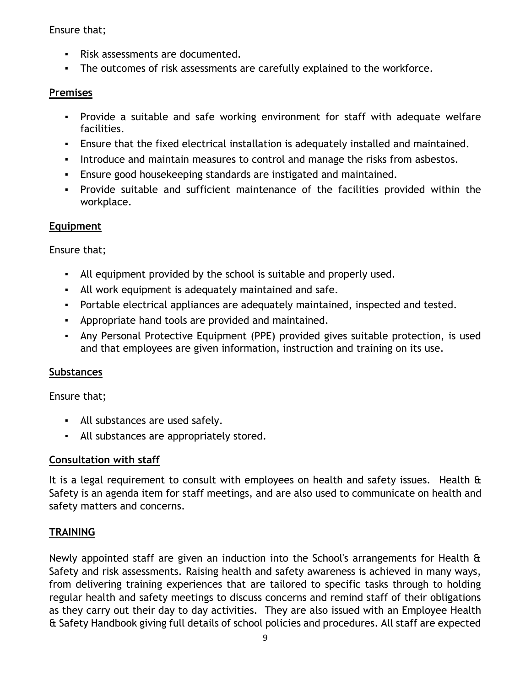#### Ensure that;

- Risk assessments are documented.
- The outcomes of risk assessments are carefully explained to the workforce.

#### **Premises**

- Provide a suitable and safe working environment for staff with adequate welfare facilities.
- Ensure that the fixed electrical installation is adequately installed and maintained.
- Introduce and maintain measures to control and manage the risks from asbestos.
- Ensure good housekeeping standards are instigated and maintained.
- Provide suitable and sufficient maintenance of the facilities provided within the workplace.

# **Equipment**

Ensure that;

- All equipment provided by the school is suitable and properly used.
- All work equipment is adequately maintained and safe.
- Portable electrical appliances are adequately maintained, inspected and tested.
- Appropriate hand tools are provided and maintained.
- Any Personal Protective Equipment (PPE) provided gives suitable protection, is used and that employees are given information, instruction and training on its use.

#### **Substances**

Ensure that;

- All substances are used safely.
- All substances are appropriately stored.

#### **Consultation with staff**

It is a legal requirement to consult with employees on health and safety issues. Health & Safety is an agenda item for staff meetings, and are also used to communicate on health and safety matters and concerns.

# **TRAINING**

Newly appointed staff are given an induction into the School's arrangements for Health & Safety and risk assessments. Raising health and safety awareness is achieved in many ways, from delivering training experiences that are tailored to specific tasks through to holding regular health and safety meetings to discuss concerns and remind staff of their obligations as they carry out their day to day activities. They are also issued with an Employee Health & Safety Handbook giving full details of school policies and procedures. All staff are expected